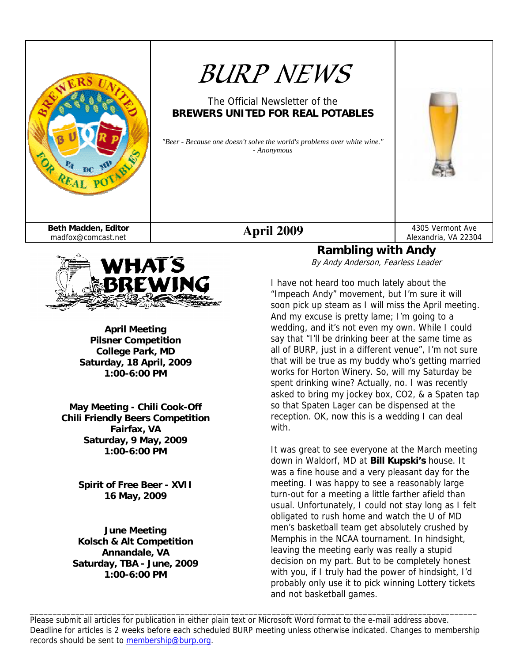

# *BURP NEWS*

### The Official Newsletter of the **BREWERS UNITED FOR REAL POTABLES**

*"Beer - Because one doesn't solve the world's problems over white wine." - Anonymous*

WHAT'S BREWING

> **April Meeting Pilsner Competition College Park, MD Saturday, 18 April, 2009 1:00-6:00 PM**

**May Meeting - Chili Cook-Off Chili Friendly Beers Competition Fairfax, VA Saturday, 9 May, 2009 1:00-6:00 PM** 

> **Spirit of Free Beer - XVII 16 May, 2009**

**June Meeting Kolsch & Alt Competition Annandale, VA Saturday, TBA - June, 2009 1:00-6:00 PM** 

#### Alexandria, VA 22304 **Rambling with Andy**

By Andy Anderson, Fearless Leader

I have not heard too much lately about the "Impeach Andy" movement, but I'm sure it will soon pick up steam as I will miss the April meeting. And my excuse is pretty lame; I'm going to a wedding, and it's not even my own. While I could say that "I'll be drinking beer at the same time as all of BURP, just in a different venue", I'm not sure that will be true as my buddy who's getting married works for Horton Winery. So, will my Saturday be spent drinking wine? Actually, no. I was recently asked to bring my jockey box, CO2, & a Spaten tap so that Spaten Lager can be dispensed at the reception. OK, now this is a wedding I can deal with.

It was great to see everyone at the March meeting down in Waldorf, MD at **Bill Kupski's** house. It was a fine house and a very pleasant day for the meeting. I was happy to see a reasonably large turn-out for a meeting a little farther afield than usual. Unfortunately, I could not stay long as I felt obligated to rush home and watch the U of MD men's basketball team get absolutely crushed by Memphis in the NCAA tournament. In hindsight, leaving the meeting early was really a stupid decision on my part. But to be completely honest with you, if I truly had the power of hindsight, I'd probably only use it to pick winning Lottery tickets and not basketball games.

Please submit all articles for publication in either plain text or Microsoft Word format to the e-mail address above. Deadline for articles is 2 weeks before each scheduled BURP meeting unless otherwise indicated. Changes to membership records should be sent to membership@burp.org.

\_\_\_\_\_\_\_\_\_\_\_\_\_\_\_\_\_\_\_\_\_\_\_\_\_\_\_\_\_\_\_\_\_\_\_\_\_\_\_\_\_\_\_\_\_\_\_\_\_\_\_\_\_\_\_\_\_\_\_\_\_\_\_\_\_\_\_\_\_\_\_\_\_\_\_\_\_\_\_\_\_\_\_\_\_\_\_\_\_\_\_\_\_\_\_\_\_\_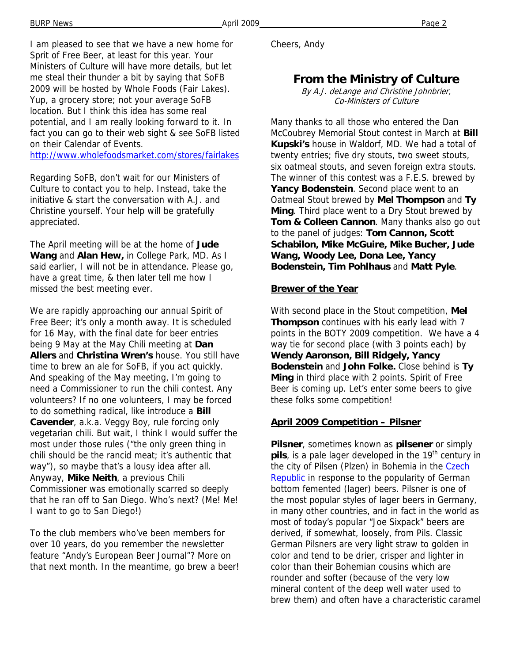I am pleased to see that we have a new home for Sprit of Free Beer, at least for this year. Your Ministers of Culture will have more details, but let me steal their thunder a bit by saying that SoFB 2009 will be hosted by Whole Foods (Fair Lakes). Yup, a grocery store; not your average SoFB location. But I think this idea has some real potential, and I am really looking forward to it. In fact you can go to their web sight & see SoFB listed on their Calendar of Events.

http://www.wholefoodsmarket.com/stores/fairlakes

Regarding SoFB, don't wait for our Ministers of Culture to contact you to help. Instead, take the initiative & start the conversation with A.J. and Christine yourself. Your help will be gratefully appreciated.

The April meeting will be at the home of **Jude Wang** and **Alan Hew,** in College Park, MD. As I said earlier, I will not be in attendance. Please go, have a great time, & then later tell me how I missed the best meeting ever.

We are rapidly approaching our annual Spirit of Free Beer; it's only a month away. It is scheduled for 16 May, with the final date for beer entries being 9 May at the May Chili meeting at **Dan Allers** and **Christina Wren's** house. You still have time to brew an ale for SoFB, if you act quickly. And speaking of the May meeting, I'm going to need a Commissioner to run the chili contest. Any volunteers? If no one volunteers, I may be forced to do something radical, like introduce a **Bill Cavender**, a.k.a. Veggy Boy, rule forcing only vegetarian chili. But wait, I think I would suffer the most under those rules ("the only green thing in chili should be the rancid meat; it's authentic that way"), so maybe that's a lousy idea after all. Anyway, **Mike Neith**, a previous Chili Commissioner was emotionally scarred so deeply that he ran off to San Diego. Who's next? (Me! Me! I want to go to San Diego!)

To the club members who've been members for over 10 years, do you remember the newsletter feature "Andy's European Beer Journal"? More on that next month. In the meantime, go brew a beer! Cheers, Andy

# **From the Ministry of Culture**

By A.J. deLange and Christine Johnbrier, Co-Ministers of Culture

Many thanks to all those who entered the Dan McCoubrey Memorial Stout contest in March at **Bill Kupski's** house in Waldorf, MD. We had a total of twenty entries; five dry stouts, two sweet stouts, six oatmeal stouts, and seven foreign extra stouts. The winner of this contest was a F.E.S. brewed by **Yancy Bodenstein**. Second place went to an Oatmeal Stout brewed by **Mel Thompson** and **Ty Ming**. Third place went to a Dry Stout brewed by **Tom & Colleen Cannon**. Many thanks also go out to the panel of judges: **Tom Cannon, Scott Schabilon, Mike McGuire, Mike Bucher, Jude Wang, Woody Lee, Dona Lee, Yancy Bodenstein, Tim Pohlhaus** and **Matt Pyle**.

#### **Brewer of the Year**

With second place in the Stout competition, **Mel Thompson** continues with his early lead with 7 points in the BOTY 2009 competition. We have a 4 way tie for second place (with 3 points each) by **Wendy Aaronson, Bill Ridgely, Yancy Bodenstein** and **John Folke.** Close behind is **Ty Ming** in third place with 2 points. Spirit of Free Beer is coming up. Let's enter some beers to give these folks some competition!

#### **April 2009 Competition – Pilsner**

**Pilsner**, sometimes known as **pilsener** or simply **pils**, is a pale lager developed in the 19<sup>th</sup> century in the city of Pilsen (Plzen) in Bohemia in the Czech **Republic** in response to the popularity of German bottom femented (lager) beers. Pilsner is one of the most popular styles of lager beers in Germany, in many other countries, and in fact in the world as most of today's popular "Joe Sixpack" beers are derived, if somewhat, loosely, from Pils. Classic German Pilsners are very light straw to golden in color and tend to be drier, crisper and lighter in color than their Bohemian cousins which are rounder and softer (because of the very low mineral content of the deep well water used to brew them) and often have a characteristic caramel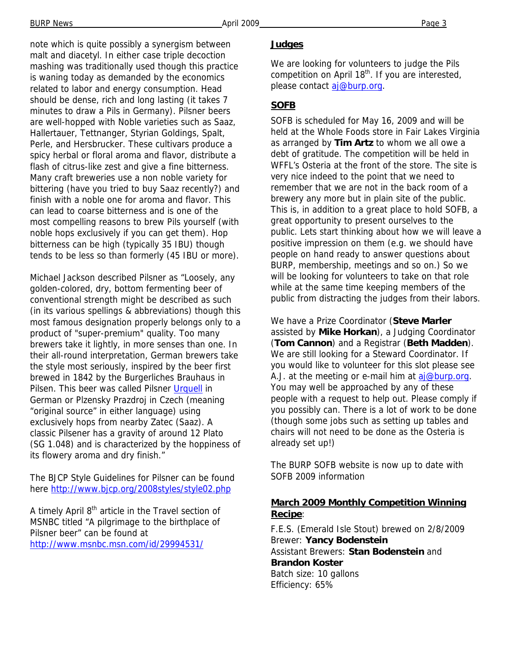note which is quite possibly a synergism between malt and diacetyl. In either case triple decoction mashing was traditionally used though this practice is waning today as demanded by the economics related to labor and energy consumption. Head should be dense, rich and long lasting (it takes 7 minutes to draw a Pils in Germany). Pilsner beers are well-hopped with Noble varieties such as Saaz, Hallertauer, Tettnanger, Styrian Goldings, Spalt, Perle, and Hersbrucker. These cultivars produce a spicy herbal or floral aroma and flavor, distribute a flash of citrus-like zest and give a fine bitterness. Many craft breweries use a non noble variety for bittering (have you tried to buy Saaz recently?) and finish with a noble one for aroma and flavor. This can lead to coarse bitterness and is one of the most compelling reasons to brew Pils yourself (with noble hops exclusively if you can get them). Hop bitterness can be high (typically 35 IBU) though tends to be less so than formerly (45 IBU or more).

Michael Jackson described Pilsner as "Loosely, any golden-colored, dry, bottom fermenting beer of conventional strength might be described as such (in its various spellings & abbreviations) though this most famous designation properly belongs only to a product of "super-premium" quality. Too many brewers take it lightly, in more senses than one. In their all-round interpretation, German brewers take the style most seriously, inspired by the beer first brewed in 1842 by the Burgerliches Brauhaus in Pilsen. This beer was called Pilsner Urquell in German or Plzensky Prazdroj in Czech (meaning "original source" in either language) using exclusively hops from nearby Zatec (Saaz). A classic Pilsener has a gravity of around 12 Plato (SG 1.048) and is characterized by the hoppiness of its flowery aroma and dry finish."

The BJCP Style Guidelines for Pilsner can be found here http://www.bjcp.org/2008styles/style02.php

A timely April 8<sup>th</sup> article in the Travel section of MSNBC titled "A pilgrimage to the birthplace of Pilsner beer" can be found at http://www.msnbc.msn.com/id/29994531/

#### **Judges**

We are looking for volunteers to judge the Pils competition on April  $18<sup>th</sup>$ . If you are interested, please contact aj@burp.org.

#### **SOFB**

SOFB is scheduled for May 16, 2009 and will be held at the Whole Foods store in Fair Lakes Virginia as arranged by **Tim Artz** to whom we all owe a debt of gratitude. The competition will be held in WFFL's Osteria at the front of the store. The site is very nice indeed to the point that we need to remember that we are not in the back room of a brewery any more but in plain site of the public. This is, in addition to a great place to hold SOFB, a great opportunity to present ourselves to the public. Lets start thinking about how we will leave a positive impression on them (e.g. we should have people on hand ready to answer questions about BURP, membership, meetings and so on.) So we will be looking for volunteers to take on that role while at the same time keeping members of the public from distracting the judges from their labors.

We have a Prize Coordinator (**Steve Marler** assisted by **Mike Horkan**), a Judging Coordinator (**Tom Cannon**) and a Registrar (**Beth Madden**). We are still looking for a Steward Coordinator. If you would like to volunteer for this slot please see A.J. at the meeting or e-mail him at aj@burp.org. You may well be approached by any of these people with a request to help out. Please comply if you possibly can. There is a lot of work to be done (though some jobs such as setting up tables and chairs will not need to be done as the Osteria is already set up!)

The BURP SOFB website is now up to date with SOFB 2009 information

#### **March 2009 Monthly Competition Winning Recipe**:

F.E.S. (Emerald Isle Stout) brewed on 2/8/2009 Brewer: **Yancy Bodenstein** Assistant Brewers: **Stan Bodenstein** and **Brandon Koster** Batch size: 10 gallons Efficiency: 65%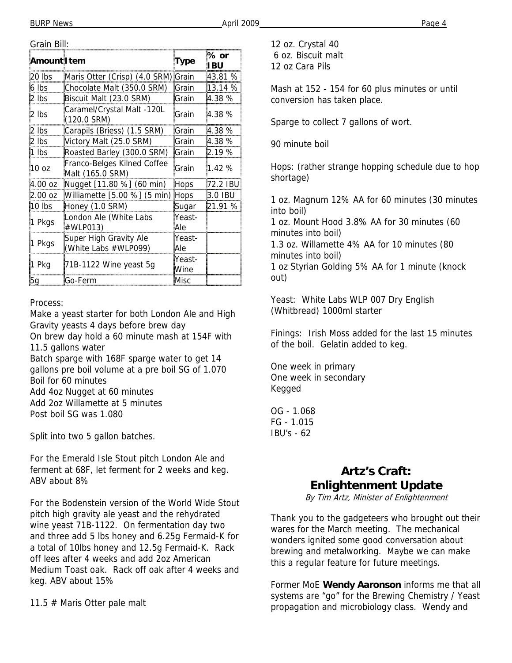| Amount I tem     |                                                 | <b>Type</b>    | % or<br>I BU |
|------------------|-------------------------------------------------|----------------|--------------|
| 20 lbs           | Maris Otter (Crisp) (4.0 SRM)                   | <b>Grain</b>   | 43.81 %      |
| 6 lbs            | Chocolate Malt (350.0 SRM)                      | Grain          | 13.14 %      |
| 2 lbs            | Biscuit Malt (23.0 SRM)                         | <b>Grain</b>   | 4.38 %       |
| 2 lbs            | Caramel/Crystal Malt -120L<br>(120.0 SRM)       | Grain          | 4.38%        |
| 2 Ibs            | Carapils (Briess) (1.5 SRM)                     | <b>Grain</b>   | 4.38 %       |
| $2$ lbs          | Victory Malt (25.0 SRM)                         | Grain          | 4.38 %       |
| 1 Ibs            | Roasted Barley (300.0 SRM)                      | lGrain         | 2.19 %       |
| 10 <sub>oz</sub> | Franco-Belges Kilned Coffee<br>Malt (165.0 SRM) | Grain          | 1.42%        |
| 4.00 oz          | Nugget [11.80 %] (60 min)                       | Hops           | 172.2 IBU    |
| 2.00 oz          | Williamette [5.00 %] (5 min)                    | <b>Hops</b>    | 3.0 IBU      |
| 10 lbs           | Honey (1.0 SRM)                                 | Sugar          | l21.91 %     |
| 1 Pkgs           | London Ale (White Labs<br>#WLP013)              | Yeast-<br>Ale  |              |
| 1 Pkgs           | Super High Gravity Ale<br>(White Labs #WLP099)  | Yeast-<br>Ale  |              |
| 1 Pkg            | 71B-1122 Wine yeast 5g                          | Yeast-<br>Wine |              |
| bα               | lGo-Ferm                                        | Misc           |              |

#### Process:

Make a yeast starter for both London Ale and High Gravity yeasts 4 days before brew day

On brew day hold a 60 minute mash at 154F with 11.5 gallons water

Batch sparge with 168F sparge water to get 14 gallons pre boil volume at a pre boil SG of 1.070 Boil for 60 minutes

Add 4oz Nugget at 60 minutes

Add 2oz Willamette at 5 minutes

Post boil SG was 1.080

Split into two 5 gallon batches.

For the Emerald Isle Stout pitch London Ale and ferment at 68F, let ferment for 2 weeks and keg. ABV about 8%

For the Bodenstein version of the World Wide Stout pitch high gravity ale yeast and the rehydrated wine yeast 71B-1122. On fermentation day two and three add 5 lbs honey and 6.25g Fermaid-K for a total of 10lbs honey and 12.5g Fermaid-K. Rack off lees after 4 weeks and add 2oz American Medium Toast oak. Rack off oak after 4 weeks and keg. ABV about 15%

11.5 # Maris Otter pale malt

12 oz. Crystal 40 6 oz. Biscuit malt 12 oz Cara Pils

Mash at 152 - 154 for 60 plus minutes or until conversion has taken place.

Sparge to collect 7 gallons of wort.

90 minute boil

Hops: (rather strange hopping schedule due to hop shortage)

1 oz. Magnum 12% AA for 60 minutes (30 minutes into boil)

1 oz. Mount Hood 3.8% AA for 30 minutes (60 minutes into boil)

1.3 oz. Willamette 4% AA for 10 minutes (80 minutes into boil)

1 oz Styrian Golding 5% AA for 1 minute (knock out)

Yeast: White Labs WLP 007 Dry English (Whitbread) 1000ml starter

Finings: Irish Moss added for the last 15 minutes of the boil. Gelatin added to keg.

One week in primary One week in secondary Kegged

OG - 1.068 FG - 1.015 IBU's - 62

# **Artz's Craft: Enlightenment Update**

By Tim Artz, Minister of Enlightenment

Thank you to the gadgeteers who brought out their wares for the March meeting. The mechanical wonders ignited some good conversation about brewing and metalworking. Maybe we can make this a regular feature for future meetings.

Former MoE **Wendy Aaronson** informs me that all systems are "go" for the Brewing Chemistry / Yeast propagation and microbiology class. Wendy and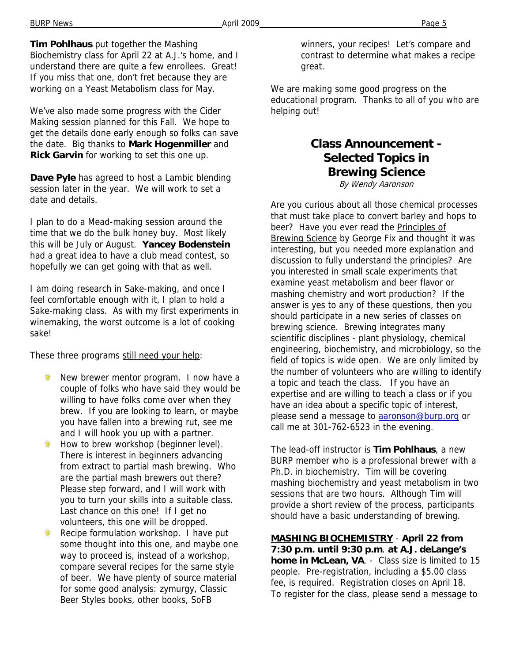**Tim Pohlhaus** put together the Mashing Biochemistry class for April 22 at A.J.'s home, and I understand there are quite a few enrollees. Great! If you miss that one, don't fret because they are working on a Yeast Metabolism class for May.

We've also made some progress with the Cider Making session planned for this Fall. We hope to get the details done early enough so folks can save the date. Big thanks to **Mark Hogenmiller** and **Rick Garvin** for working to set this one up.

**Dave Pyle** has agreed to host a Lambic blending session later in the year. We will work to set a date and details.

I plan to do a Mead-making session around the time that we do the bulk honey buy. Most likely this will be July or August. **Yancey Bodenstein** had a great idea to have a club mead contest, so hopefully we can get going with that as well.

I am doing research in Sake-making, and once I feel comfortable enough with it, I plan to hold a Sake-making class. As with my first experiments in winemaking, the worst outcome is a lot of cooking sake!

These three programs still need your help:

- New brewer mentor program. I now have a couple of folks who have said they would be willing to have folks come over when they brew. If you are looking to learn, or maybe you have fallen into a brewing rut, see me and I will hook you up with a partner.
- Ŵ. How to brew workshop (beginner level). There is interest in beginners advancing from extract to partial mash brewing. Who are the partial mash brewers out there? Please step forward, and I will work with you to turn your skills into a suitable class. Last chance on this one! If I get no volunteers, this one will be dropped.
- Recipe formulation workshop. I have put some thought into this one, and maybe one way to proceed is, instead of a workshop, compare several recipes for the same style of beer. We have plenty of source material for some good analysis: zymurgy, Classic Beer Styles books, other books, SoFB

winners, your recipes! Let's compare and contrast to determine what makes a recipe great.

We are making some good progress on the educational program. Thanks to all of you who are helping out!

# **Class Announcement - Selected Topics in Brewing Science**

By Wendy Aaronson

Are you curious about all those chemical processes that must take place to convert barley and hops to beer? Have you ever read the Principles of Brewing Science by George Fix and thought it was interesting, but you needed more explanation and discussion to fully understand the principles? Are you interested in small scale experiments that examine yeast metabolism and beer flavor or mashing chemistry and wort production? If the answer is yes to any of these questions, then you should participate in a new series of classes on brewing science. Brewing integrates many scientific disciplines - plant physiology, chemical engineering, biochemistry, and microbiology, so the field of topics is wide open. We are only limited by the number of volunteers who are willing to identify a topic and teach the class. If you have an expertise and are willing to teach a class or if you have an idea about a specific topic of interest, please send a message to **aaronson@burp.org** or call me at 301-762-6523 in the evening.

The lead-off instructor is **Tim Pohlhaus**, a new BURP member who is a professional brewer with a Ph.D. in biochemistry. Tim will be covering mashing biochemistry and yeast metabolism in two sessions that are two hours. Although Tim will provide a short review of the process, participants should have a basic understanding of brewing.

**MASHING BIOCHEMISTRY** - **April 22 from 7:30 p.m. until 9:30 p.m**. **at A.J. deLange's home in McLean, VA**. - Class size is limited to 15 people. Pre-registration, including a \$5.00 class fee, is required. Registration closes on April 18. To register for the class, please send a message to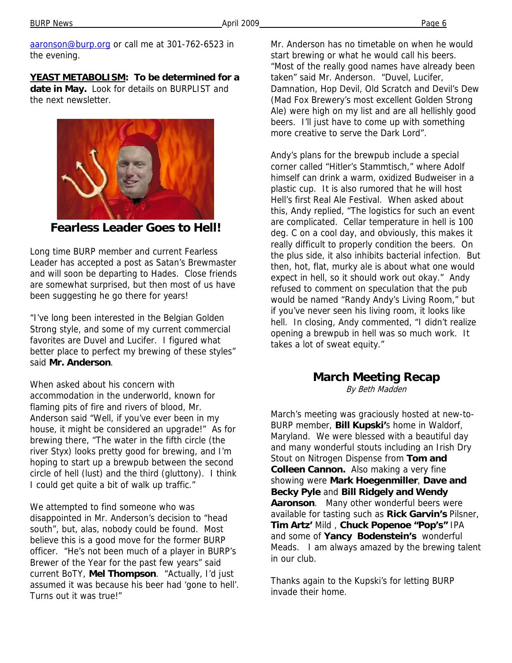BURP News Page 6

aaronson@burp.org or call me at 301-762-6523 in the evening.

**YEAST METABOLISM: To be determined for a date in May.** Look for details on BURPLIST and the next newsletter.



**Fearless Leader Goes to Hell!** 

Long time BURP member and current Fearless Leader has accepted a post as Satan's Brewmaster and will soon be departing to Hades. Close friends are somewhat surprised, but then most of us have been suggesting he go there for years!

"I've long been interested in the Belgian Golden Strong style, and some of my current commercial favorites are Duvel and Lucifer. I figured what better place to perfect my brewing of these styles" said **Mr. Anderson**.

When asked about his concern with accommodation in the underworld, known for flaming pits of fire and rivers of blood, Mr. Anderson said "Well, if you've ever been in my house, it might be considered an upgrade!" As for brewing there, "The water in the fifth circle (the river Styx) looks pretty good for brewing, and I'm hoping to start up a brewpub between the second circle of hell (lust) and the third (gluttony). I think I could get quite a bit of walk up traffic."

We attempted to find someone who was disappointed in Mr. Anderson's decision to "head south", but, alas, nobody could be found. Most believe this is a good move for the former BURP officer. "He's not been much of a player in BURP's Brewer of the Year for the past few years" said current BoTY, **Mel Thompson**. "Actually, I'd just assumed it was because his beer had 'gone to hell'. Turns out it was true!"

Mr. Anderson has no timetable on when he would start brewing or what he would call his beers. "Most of the really good names have already been taken" said Mr. Anderson. "Duvel, Lucifer, Damnation, Hop Devil, Old Scratch and Devil's Dew (Mad Fox Brewery's most excellent Golden Strong Ale) were high on my list and are all hellishly good beers. I'll just have to come up with something more creative to serve the Dark Lord".

Andy's plans for the brewpub include a special corner called "Hitler's Stammtisch," where Adolf himself can drink a warm, oxidized Budweiser in a plastic cup. It is also rumored that he will host Hell's first Real Ale Festival. When asked about this, Andy replied, "The logistics for such an event are complicated. Cellar temperature in hell is 100 deg. C on a cool day, and obviously, this makes it really difficult to properly condition the beers. On the plus side, it also inhibits bacterial infection. But then, hot, flat, murky ale is about what one would expect in hell, so it should work out okay." Andy refused to comment on speculation that the pub would be named "Randy Andy's Living Room," but if you've never seen his living room, it looks like hell. In closing, Andy commented, "I didn't realize opening a brewpub in hell was so much work. It takes a lot of sweat equity."

#### **March Meeting Recap**

By Beth Madden

March's meeting was graciously hosted at new-to-BURP member, **Bill Kupski'**s home in Waldorf, Maryland. We were blessed with a beautiful day and many wonderful stouts including an Irish Dry Stout on Nitrogen Dispense from **Tom and Colleen Cannon.** Also making a very fine showing were **Mark Hoegenmiller**, **Dave and Becky Pyle** and **Bill Ridgely and Wendy Aaronson**. Many other wonderful beers were available for tasting such as **Rick Garvin's** Pilsner, **Tim Artz'** Mild , **Chuck Popenoe "Pop's"** IPA and some of **Yancy Bodenstein's** wonderful Meads. I am always amazed by the brewing talent in our club.

Thanks again to the Kupski's for letting BURP invade their home.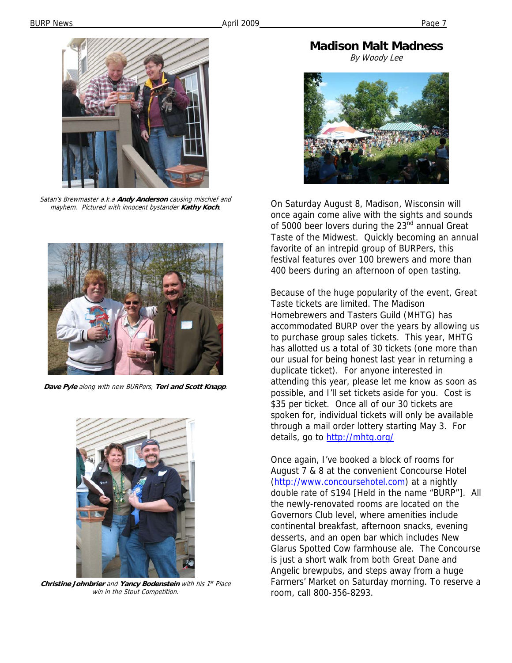

Satan's Brewmaster a.k.a **Andy Anderson** causing mischief and mayhem. Pictured with innocent bystander **Kathy Koch**.



**Dave Pyle** along with new BURPers, **Teri and Scott Knapp**.



**Christine Johnbrier** and **Yancy Bodenstein** with his 1<sup>st</sup> Place win in the Stout Competition.

**Madison Malt Madness** 

By Woody Lee



On Saturday August 8, Madison, Wisconsin will once again come alive with the sights and sounds of 5000 beer lovers during the 23<sup>nd</sup> annual Great Taste of the Midwest. Quickly becoming an annual favorite of an intrepid group of BURPers, this festival features over 100 brewers and more than 400 beers during an afternoon of open tasting.

Because of the huge popularity of the event, Great Taste tickets are limited. The Madison Homebrewers and Tasters Guild (MHTG) has accommodated BURP over the years by allowing us to purchase group sales tickets. This year, MHTG has allotted us a total of 30 tickets (one more than our usual for being honest last year in returning a duplicate ticket). For anyone interested in attending this year, please let me know as soon as possible, and I'll set tickets aside for you. Cost is \$35 per ticket. Once all of our 30 tickets are spoken for, individual tickets will only be available through a mail order lottery starting May 3. For details, go to http://mhtg.org/

Once again, I've booked a block of rooms for August 7 & 8 at the convenient Concourse Hotel (http://www.concoursehotel.com) at a nightly double rate of \$194 [Held in the name "BURP"]. All the newly-renovated rooms are located on the Governors Club level, where amenities include continental breakfast, afternoon snacks, evening desserts, and an open bar which includes New Glarus Spotted Cow farmhouse ale. The Concourse is just a short walk from both Great Dane and Angelic brewpubs, and steps away from a huge Farmers' Market on Saturday morning. To reserve a room, call 800-356-8293.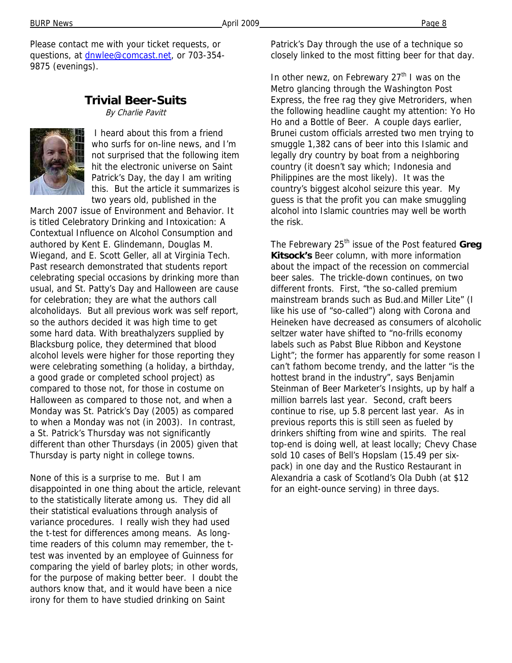Please contact me with your ticket requests, or questions, at dnwlee@comcast.net, or 703-354-9875 (evenings).

# **Trivial Beer-Suits**

By Charlie Pavitt



 I heard about this from a friend who surfs for on-line news, and I'm not surprised that the following item hit the electronic universe on Saint Patrick's Day, the day I am writing this. But the article it summarizes is two years old, published in the

March 2007 issue of Environment and Behavior. It is titled Celebratory Drinking and Intoxication: A Contextual Influence on Alcohol Consumption and authored by Kent E. Glindemann, Douglas M. Wiegand, and E. Scott Geller, all at Virginia Tech. Past research demonstrated that students report celebrating special occasions by drinking more than usual, and St. Patty's Day and Halloween are cause for celebration; they are what the authors call alcoholidays. But all previous work was self report, so the authors decided it was high time to get some hard data. With breathalyzers supplied by Blacksburg police, they determined that blood alcohol levels were higher for those reporting they were celebrating something (a holiday, a birthday, a good grade or completed school project) as compared to those not, for those in costume on Halloween as compared to those not, and when a Monday was St. Patrick's Day (2005) as compared to when a Monday was not (in 2003). In contrast, a St. Patrick's Thursday was not significantly different than other Thursdays (in 2005) given that Thursday is party night in college towns.

None of this is a surprise to me. But I am disappointed in one thing about the article, relevant to the statistically literate among us. They did all their statistical evaluations through analysis of variance procedures. I really wish they had used the t-test for differences among means. As longtime readers of this column may remember, the ttest was invented by an employee of Guinness for comparing the yield of barley plots; in other words, for the purpose of making better beer. I doubt the authors know that, and it would have been a nice irony for them to have studied drinking on Saint

Patrick's Day through the use of a technique so closely linked to the most fitting beer for that day.

In other newz, on Febrewary  $27<sup>th</sup>$  I was on the Metro glancing through the Washington Post Express, the free rag they give Metroriders, when the following headline caught my attention: Yo Ho Ho and a Bottle of Beer. A couple days earlier, Brunei custom officials arrested two men trying to smuggle 1,382 cans of beer into this Islamic and legally dry country by boat from a neighboring country (it doesn't say which; Indonesia and Philippines are the most likely). It was the country's biggest alcohol seizure this year. My guess is that the profit you can make smuggling alcohol into Islamic countries may well be worth the risk.

The Febrewary 25<sup>th</sup> issue of the Post featured Greg **Kitsock's** Beer column, with more information about the impact of the recession on commercial beer sales. The trickle-down continues, on two different fronts. First, "the so-called premium mainstream brands such as Bud.and Miller Lite" (I like his use of "so-called") along with Corona and Heineken have decreased as consumers of alcoholic seltzer water have shifted to "no-frills economy labels such as Pabst Blue Ribbon and Keystone Light"; the former has apparently for some reason I can't fathom become trendy, and the latter "is the hottest brand in the industry", says Benjamin Steinman of Beer Marketer's Insights, up by half a million barrels last year. Second, craft beers continue to rise, up 5.8 percent last year. As in previous reports this is still seen as fueled by drinkers shifting from wine and spirits. The real top-end is doing well, at least locally; Chevy Chase sold 10 cases of Bell's Hopslam (15.49 per sixpack) in one day and the Rustico Restaurant in Alexandria a cask of Scotland's Ola Dubh (at \$12 for an eight-ounce serving) in three days.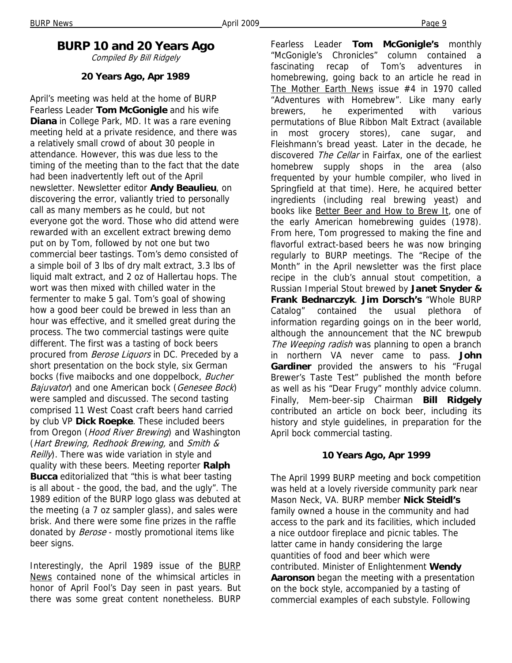# **BURP 10 and 20 Years Ago**

Compiled By Bill Ridgely

#### **20 Years Ago, Apr 1989**

April's meeting was held at the home of BURP Fearless Leader **Tom McGonigle** and his wife **Diana** in College Park, MD. It was a rare evening meeting held at a private residence, and there was a relatively small crowd of about 30 people in attendance. However, this was due less to the timing of the meeting than to the fact that the date had been inadvertently left out of the April newsletter. Newsletter editor **Andy Beaulieu**, on discovering the error, valiantly tried to personally call as many members as he could, but not everyone got the word. Those who did attend were rewarded with an excellent extract brewing demo put on by Tom, followed by not one but two commercial beer tastings. Tom's demo consisted of a simple boil of 3 lbs of dry malt extract, 3.3 lbs of liquid malt extract, and 2 oz of Hallertau hops. The wort was then mixed with chilled water in the fermenter to make 5 gal. Tom's goal of showing how a good beer could be brewed in less than an hour was effective, and it smelled great during the process. The two commercial tastings were quite different. The first was a tasting of bock beers procured from Berose Liquors in DC. Preceded by a short presentation on the bock style, six German bocks (five maibocks and one doppelbock, Bucher Bajuvator) and one American bock (Genesee Bock) were sampled and discussed. The second tasting comprised 11 West Coast craft beers hand carried by club VP **Dick Roepke**. These included beers from Oregon (*Hood River Brewing*) and Washington (Hart Brewing, Redhook Brewing, and Smith &  $Reill$ ). There was wide variation in style and quality with these beers. Meeting reporter **Ralph Bucca** editorialized that "this is what beer tasting is all about - the good, the bad, and the ugly". The 1989 edition of the BURP logo glass was debuted at the meeting (a 7 oz sampler glass), and sales were brisk. And there were some fine prizes in the raffle donated by *Berose* - mostly promotional items like beer signs.

Interestingly, the April 1989 issue of the BURP News contained none of the whimsical articles in honor of April Fool's Day seen in past years. But there was some great content nonetheless. BURP

Fearless Leader **Tom McGonigle's** monthly "McGonigle's Chronicles" column contained a fascinating recap of Tom's adventures in homebrewing, going back to an article he read in The Mother Earth News issue #4 in 1970 called "Adventures with Homebrew". Like many early brewers, he experimented with various permutations of Blue Ribbon Malt Extract (available in most grocery stores), cane sugar, and Fleishmann's bread yeast. Later in the decade, he discovered The Cellar in Fairfax, one of the earliest homebrew supply shops in the area (also frequented by your humble compiler, who lived in Springfield at that time). Here, he acquired better ingredients (including real brewing yeast) and books like Better Beer and How to Brew It, one of the early American homebrewing guides (1978). From here, Tom progressed to making the fine and flavorful extract-based beers he was now bringing regularly to BURP meetings. The "Recipe of the Month" in the April newsletter was the first place recipe in the club's annual stout competition, a Russian Imperial Stout brewed by **Janet Snyder & Frank Bednarczyk**. **Jim Dorsch's** "Whole BURP Catalog" contained the usual plethora of information regarding goings on in the beer world, although the announcement that the NC brewpub The Weeping radish was planning to open a branch in northern VA never came to pass. **John Gardiner** provided the answers to his "Frugal Brewer's Taste Test" published the month before as well as his "Dear Frugy" monthly advice column. Finally, Mem-beer-sip Chairman **Bill Ridgely**  contributed an article on bock beer, including its history and style guidelines, in preparation for the April bock commercial tasting.

#### **10 Years Ago, Apr 1999**

The April 1999 BURP meeting and bock competition was held at a lovely riverside community park near Mason Neck, VA. BURP member **Nick Steidl's**  family owned a house in the community and had access to the park and its facilities, which included a nice outdoor fireplace and picnic tables. The latter came in handy considering the large quantities of food and beer which were contributed. Minister of Enlightenment **Wendy Aaronson** began the meeting with a presentation on the bock style, accompanied by a tasting of commercial examples of each substyle. Following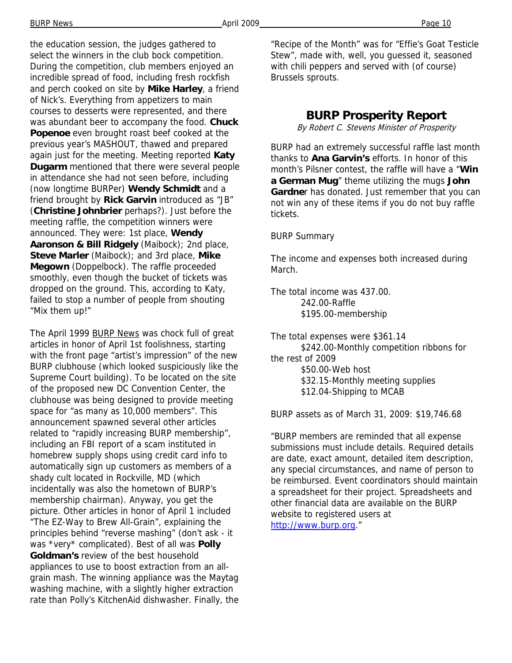the education session, the judges gathered to select the winners in the club bock competition. During the competition, club members enjoyed an incredible spread of food, including fresh rockfish and perch cooked on site by **Mike Harley**, a friend of Nick's. Everything from appetizers to main courses to desserts were represented, and there was abundant beer to accompany the food. **Chuck Popenoe** even brought roast beef cooked at the previous year's MASHOUT, thawed and prepared again just for the meeting. Meeting reported **Katy Dugarm** mentioned that there were several people in attendance she had not seen before, including (now longtime BURPer) **Wendy Schmidt** and a friend brought by **Rick Garvin** introduced as "JB" (**Christine Johnbrier** perhaps?). Just before the meeting raffle, the competition winners were announced. They were: 1st place, **Wendy Aaronson & Bill Ridgely** (Maibock); 2nd place, **Steve Marler** (Maibock); and 3rd place, **Mike Megown** (Doppelbock). The raffle proceeded smoothly, even though the bucket of tickets was dropped on the ground. This, according to Katy, failed to stop a number of people from shouting "Mix them up!"

The April 1999 BURP News was chock full of great articles in honor of April 1st foolishness, starting with the front page "artist's impression" of the new BURP clubhouse (which looked suspiciously like the Supreme Court building). To be located on the site of the proposed new DC Convention Center, the clubhouse was being designed to provide meeting space for "as many as 10,000 members". This announcement spawned several other articles related to "rapidly increasing BURP membership", including an FBI report of a scam instituted in homebrew supply shops using credit card info to automatically sign up customers as members of a shady cult located in Rockville, MD (which incidentally was also the hometown of BURP's membership chairman). Anyway, you get the picture. Other articles in honor of April 1 included "The EZ-Way to Brew All-Grain", explaining the principles behind "reverse mashing" (don't ask - it was \*very\* complicated). Best of all was **Polly Goldman's** review of the best household appliances to use to boost extraction from an allgrain mash. The winning appliance was the Maytag washing machine, with a slightly higher extraction rate than Polly's KitchenAid dishwasher. Finally, the "Recipe of the Month" was for "Effie's Goat Testicle Stew", made with, well, you guessed it, seasoned with chili peppers and served with (of course) Brussels sprouts.

#### **BURP Prosperity Report**

By Robert C. Stevens Minister of Prosperity

BURP had an extremely successful raffle last month thanks to **Ana Garvin's** efforts. In honor of this month's Pilsner contest, the raffle will have a "**Win a German Mug**" theme utilizing the mugs **John Gardne**r has donated. Just remember that you can not win any of these items if you do not buy raffle tickets.

BURP Summary

The income and expenses both increased during March.

The total income was 437.00. 242.00-Raffle \$195.00-membership

The total expenses were \$361.14 \$242.00-Monthly competition ribbons for the rest of 2009 \$50.00-Web host \$32.15-Monthly meeting supplies \$12.04-Shipping to MCAB

BURP assets as of March 31, 2009: \$19,746.68

"BURP members are reminded that all expense submissions must include details. Required details are date, exact amount, detailed item description, any special circumstances, and name of person to be reimbursed. Event coordinators should maintain a spreadsheet for their project. Spreadsheets and other financial data are available on the BURP website to registered users at http://www.burp.org."